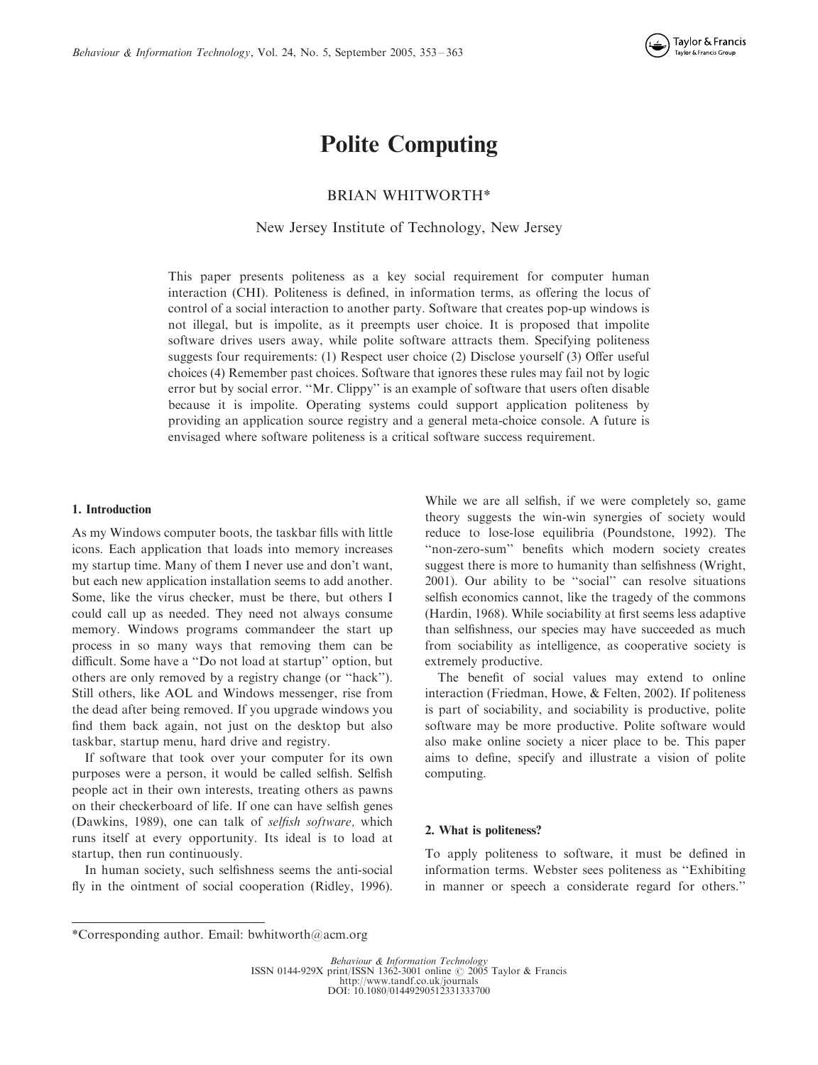

# Polite Computing

# BRIAN WHITWORTH\*

New Jersey Institute of Technology, New Jersey

This paper presents politeness as a key social requirement for computer human interaction (CHI). Politeness is defined, in information terms, as offering the locus of control of a social interaction to another party. Software that creates pop-up windows is not illegal, but is impolite, as it preempts user choice. It is proposed that impolite software drives users away, while polite software attracts them. Specifying politeness suggests four requirements: (1) Respect user choice (2) Disclose yourself (3) Offer useful choices (4) Remember past choices. Software that ignores these rules may fail not by logic error but by social error. ''Mr. Clippy'' is an example of software that users often disable because it is impolite. Operating systems could support application politeness by providing an application source registry and a general meta-choice console. A future is envisaged where software politeness is a critical software success requirement.

#### 1. Introduction

As my Windows computer boots, the taskbar fills with little icons. Each application that loads into memory increases my startup time. Many of them I never use and don't want, but each new application installation seems to add another. Some, like the virus checker, must be there, but others I could call up as needed. They need not always consume memory. Windows programs commandeer the start up process in so many ways that removing them can be difficult. Some have a ''Do not load at startup'' option, but others are only removed by a registry change (or ''hack''). Still others, like AOL and Windows messenger, rise from the dead after being removed. If you upgrade windows you find them back again, not just on the desktop but also taskbar, startup menu, hard drive and registry.

If software that took over your computer for its own purposes were a person, it would be called selfish. Selfish people act in their own interests, treating others as pawns on their checkerboard of life. If one can have selfish genes (Dawkins, 1989), one can talk of selfish software, which runs itself at every opportunity. Its ideal is to load at startup, then run continuously.

In human society, such selfishness seems the anti-social fly in the ointment of social cooperation (Ridley, 1996).

While we are all selfish, if we were completely so, game theory suggests the win-win synergies of society would reduce to lose-lose equilibria (Poundstone, 1992). The ''non-zero-sum'' benefits which modern society creates suggest there is more to humanity than selfishness (Wright, 2001). Our ability to be ''social'' can resolve situations selfish economics cannot, like the tragedy of the commons (Hardin, 1968). While sociability at first seems less adaptive than selfishness, our species may have succeeded as much from sociability as intelligence, as cooperative society is extremely productive.

The benefit of social values may extend to online interaction (Friedman, Howe, & Felten, 2002). If politeness is part of sociability, and sociability is productive, polite software may be more productive. Polite software would also make online society a nicer place to be. This paper aims to define, specify and illustrate a vision of polite computing.

#### 2. What is politeness?

To apply politeness to software, it must be defined in information terms. Webster sees politeness as ''Exhibiting in manner or speech a considerate regard for others.''

<sup>\*</sup>Corresponding author. Email: bwhitworth@acm.org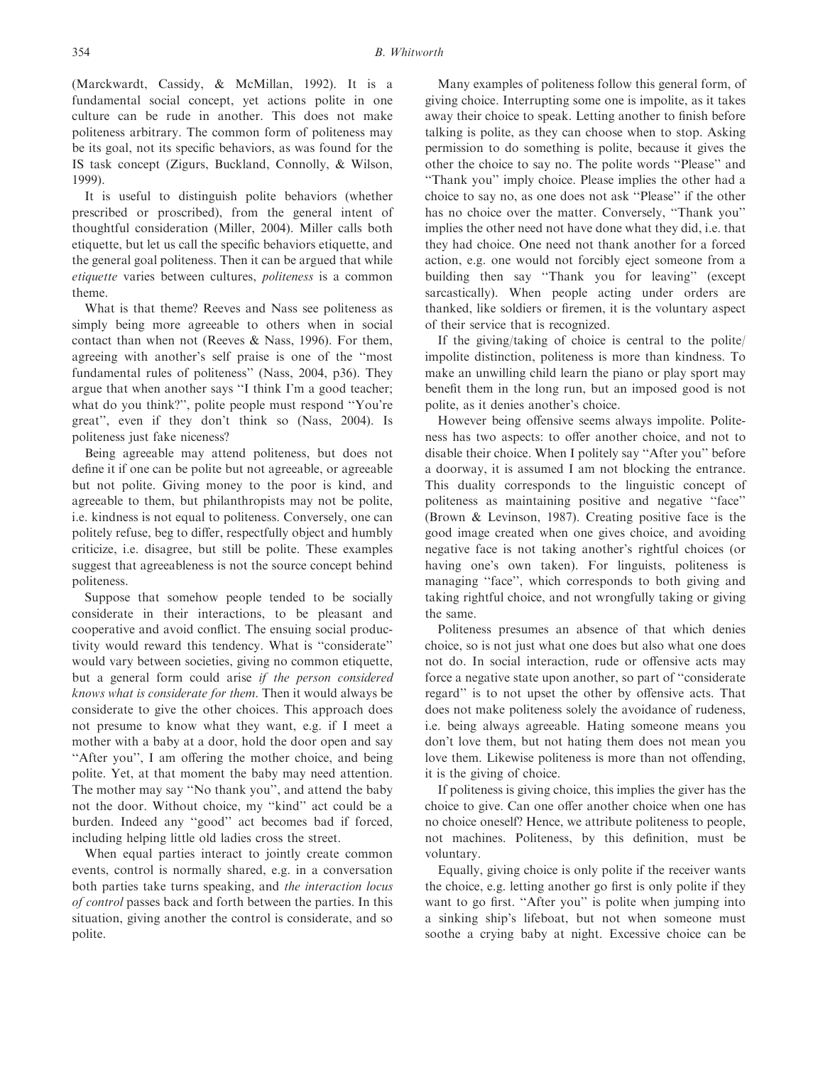(Marckwardt, Cassidy, & McMillan, 1992). It is a fundamental social concept, yet actions polite in one culture can be rude in another. This does not make politeness arbitrary. The common form of politeness may be its goal, not its specific behaviors, as was found for the IS task concept (Zigurs, Buckland, Connolly, & Wilson, 1999).

It is useful to distinguish polite behaviors (whether prescribed or proscribed), from the general intent of thoughtful consideration (Miller, 2004). Miller calls both etiquette, but let us call the specific behaviors etiquette, and the general goal politeness. Then it can be argued that while etiquette varies between cultures, politeness is a common theme.

What is that theme? Reeves and Nass see politeness as simply being more agreeable to others when in social contact than when not (Reeves & Nass, 1996). For them, agreeing with another's self praise is one of the ''most fundamental rules of politeness'' (Nass, 2004, p36). They argue that when another says ''I think I'm a good teacher; what do you think?'', polite people must respond ''You're great'', even if they don't think so (Nass, 2004). Is politeness just fake niceness?

Being agreeable may attend politeness, but does not define it if one can be polite but not agreeable, or agreeable but not polite. Giving money to the poor is kind, and agreeable to them, but philanthropists may not be polite, i.e. kindness is not equal to politeness. Conversely, one can politely refuse, beg to differ, respectfully object and humbly criticize, i.e. disagree, but still be polite. These examples suggest that agreeableness is not the source concept behind politeness.

Suppose that somehow people tended to be socially considerate in their interactions, to be pleasant and cooperative and avoid conflict. The ensuing social productivity would reward this tendency. What is ''considerate'' would vary between societies, giving no common etiquette, but a general form could arise if the person considered knows what is considerate for them. Then it would always be considerate to give the other choices. This approach does not presume to know what they want, e.g. if I meet a mother with a baby at a door, hold the door open and say ''After you'', I am offering the mother choice, and being polite. Yet, at that moment the baby may need attention. The mother may say ''No thank you'', and attend the baby not the door. Without choice, my ''kind'' act could be a burden. Indeed any ''good'' act becomes bad if forced, including helping little old ladies cross the street.

When equal parties interact to jointly create common events, control is normally shared, e.g. in a conversation both parties take turns speaking, and the interaction locus of control passes back and forth between the parties. In this situation, giving another the control is considerate, and so polite.

Many examples of politeness follow this general form, of giving choice. Interrupting some one is impolite, as it takes away their choice to speak. Letting another to finish before talking is polite, as they can choose when to stop. Asking permission to do something is polite, because it gives the other the choice to say no. The polite words ''Please'' and ''Thank you'' imply choice. Please implies the other had a choice to say no, as one does not ask ''Please'' if the other has no choice over the matter. Conversely, ''Thank you'' implies the other need not have done what they did, i.e. that they had choice. One need not thank another for a forced action, e.g. one would not forcibly eject someone from a building then say ''Thank you for leaving'' (except sarcastically). When people acting under orders are thanked, like soldiers or firemen, it is the voluntary aspect of their service that is recognized.

If the giving/taking of choice is central to the polite/ impolite distinction, politeness is more than kindness. To make an unwilling child learn the piano or play sport may benefit them in the long run, but an imposed good is not polite, as it denies another's choice.

However being offensive seems always impolite. Politeness has two aspects: to offer another choice, and not to disable their choice. When I politely say ''After you'' before a doorway, it is assumed I am not blocking the entrance. This duality corresponds to the linguistic concept of politeness as maintaining positive and negative ''face'' (Brown & Levinson, 1987). Creating positive face is the good image created when one gives choice, and avoiding negative face is not taking another's rightful choices (or having one's own taken). For linguists, politeness is managing ''face'', which corresponds to both giving and taking rightful choice, and not wrongfully taking or giving the same.

Politeness presumes an absence of that which denies choice, so is not just what one does but also what one does not do. In social interaction, rude or offensive acts may force a negative state upon another, so part of ''considerate regard'' is to not upset the other by offensive acts. That does not make politeness solely the avoidance of rudeness, i.e. being always agreeable. Hating someone means you don't love them, but not hating them does not mean you love them. Likewise politeness is more than not offending, it is the giving of choice.

If politeness is giving choice, this implies the giver has the choice to give. Can one offer another choice when one has no choice oneself? Hence, we attribute politeness to people, not machines. Politeness, by this definition, must be voluntary.

Equally, giving choice is only polite if the receiver wants the choice, e.g. letting another go first is only polite if they want to go first. ''After you'' is polite when jumping into a sinking ship's lifeboat, but not when someone must soothe a crying baby at night. Excessive choice can be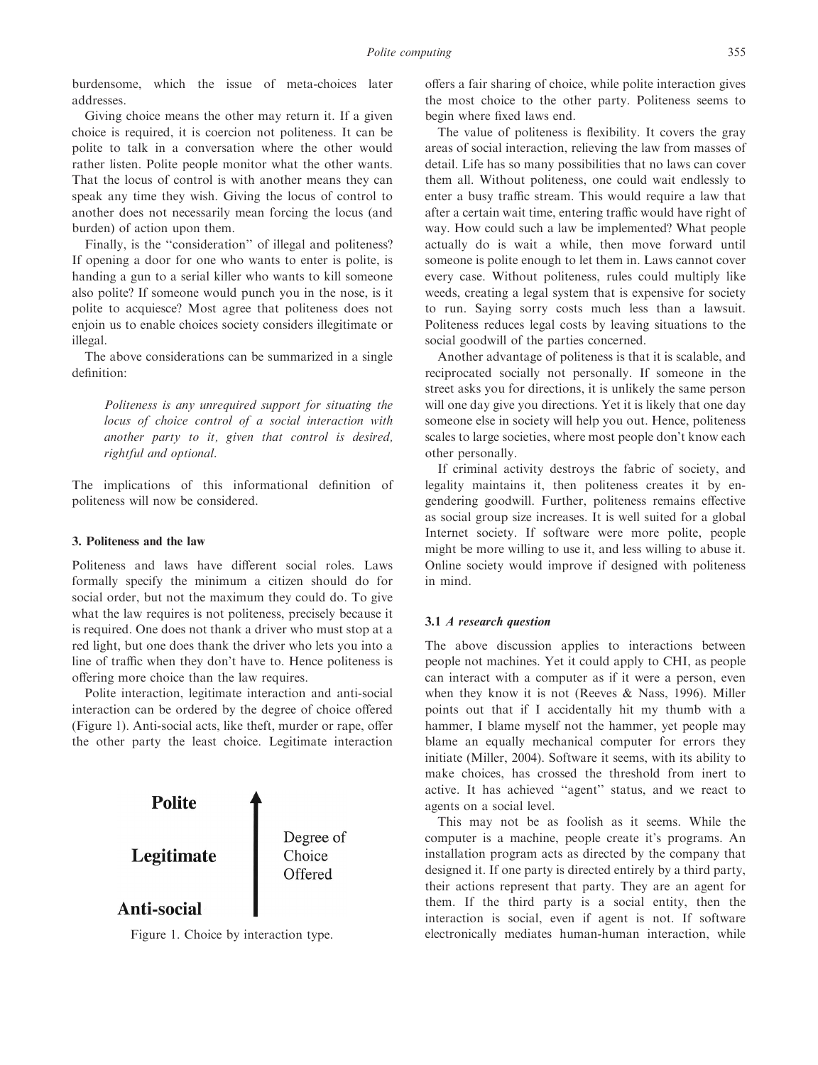burdensome, which the issue of meta-choices later addresses.

Giving choice means the other may return it. If a given choice is required, it is coercion not politeness. It can be polite to talk in a conversation where the other would rather listen. Polite people monitor what the other wants. That the locus of control is with another means they can speak any time they wish. Giving the locus of control to another does not necessarily mean forcing the locus (and burden) of action upon them.

Finally, is the "consideration" of illegal and politeness? If opening a door for one who wants to enter is polite, is handing a gun to a serial killer who wants to kill someone also polite? If someone would punch you in the nose, is it polite to acquiesce? Most agree that politeness does not enjoin us to enable choices society considers illegitimate or illegal.

The above considerations can be summarized in a single definition:

> Politeness is any unrequired support for situating the locus of choice control of a social interaction with another party to it, given that control is desired, rightful and optional.

The implications of this informational definition of politeness will now be considered.

#### 3. Politeness and the law

Politeness and laws have different social roles. Laws formally specify the minimum a citizen should do for social order, but not the maximum they could do. To give what the law requires is not politeness, precisely because it is required. One does not thank a driver who must stop at a red light, but one does thank the driver who lets you into a line of traffic when they don't have to. Hence politeness is offering more choice than the law requires.

Polite interaction, legitimate interaction and anti-social interaction can be ordered by the degree of choice offered (Figure 1). Anti-social acts, like theft, murder or rape, offer the other party the least choice. Legitimate interaction



offers a fair sharing of choice, while polite interaction gives the most choice to the other party. Politeness seems to begin where fixed laws end.

The value of politeness is flexibility. It covers the gray areas of social interaction, relieving the law from masses of detail. Life has so many possibilities that no laws can cover them all. Without politeness, one could wait endlessly to enter a busy traffic stream. This would require a law that after a certain wait time, entering traffic would have right of way. How could such a law be implemented? What people actually do is wait a while, then move forward until someone is polite enough to let them in. Laws cannot cover every case. Without politeness, rules could multiply like weeds, creating a legal system that is expensive for society to run. Saying sorry costs much less than a lawsuit. Politeness reduces legal costs by leaving situations to the social goodwill of the parties concerned.

Another advantage of politeness is that it is scalable, and reciprocated socially not personally. If someone in the street asks you for directions, it is unlikely the same person will one day give you directions. Yet it is likely that one day someone else in society will help you out. Hence, politeness scales to large societies, where most people don't know each other personally.

If criminal activity destroys the fabric of society, and legality maintains it, then politeness creates it by engendering goodwill. Further, politeness remains effective as social group size increases. It is well suited for a global Internet society. If software were more polite, people might be more willing to use it, and less willing to abuse it. Online society would improve if designed with politeness in mind.

## 3.1 A research question

The above discussion applies to interactions between people not machines. Yet it could apply to CHI, as people can interact with a computer as if it were a person, even when they know it is not (Reeves & Nass, 1996). Miller points out that if I accidentally hit my thumb with a hammer, I blame myself not the hammer, yet people may blame an equally mechanical computer for errors they initiate (Miller, 2004). Software it seems, with its ability to make choices, has crossed the threshold from inert to active. It has achieved ''agent'' status, and we react to agents on a social level.

This may not be as foolish as it seems. While the computer is a machine, people create it's programs. An installation program acts as directed by the company that designed it. If one party is directed entirely by a third party, their actions represent that party. They are an agent for them. If the third party is a social entity, then the interaction is social, even if agent is not. If software Figure 1. Choice by interaction type. electronically mediates human-human interaction, while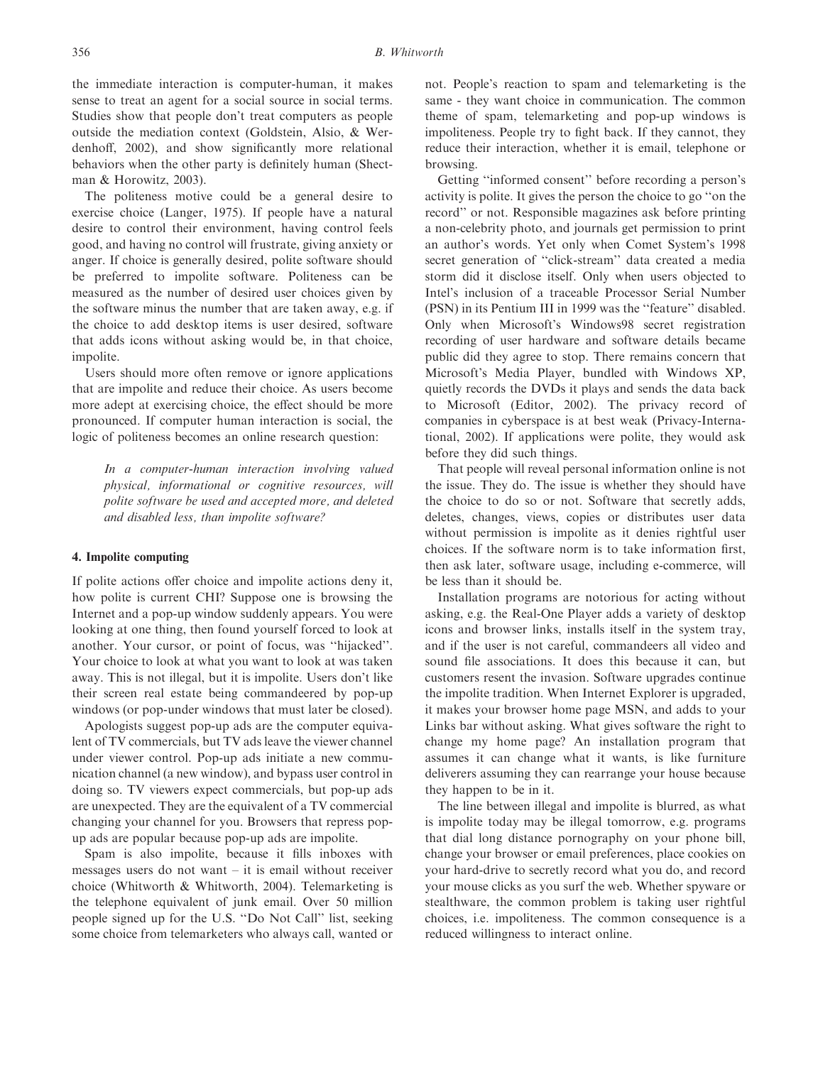the immediate interaction is computer-human, it makes sense to treat an agent for a social source in social terms. Studies show that people don't treat computers as people outside the mediation context (Goldstein, Alsio, & Werdenhoff, 2002), and show significantly more relational behaviors when the other party is definitely human (Shectman & Horowitz, 2003).

The politeness motive could be a general desire to exercise choice (Langer, 1975). If people have a natural desire to control their environment, having control feels good, and having no control will frustrate, giving anxiety or anger. If choice is generally desired, polite software should be preferred to impolite software. Politeness can be measured as the number of desired user choices given by the software minus the number that are taken away, e.g. if the choice to add desktop items is user desired, software that adds icons without asking would be, in that choice, impolite.

Users should more often remove or ignore applications that are impolite and reduce their choice. As users become more adept at exercising choice, the effect should be more pronounced. If computer human interaction is social, the logic of politeness becomes an online research question:

In a computer-human interaction involving valued physical, informational or cognitive resources, will polite software be used and accepted more, and deleted and disabled less, than impolite software?

## 4. Impolite computing

If polite actions offer choice and impolite actions deny it, how polite is current CHI? Suppose one is browsing the Internet and a pop-up window suddenly appears. You were looking at one thing, then found yourself forced to look at another. Your cursor, or point of focus, was ''hijacked''. Your choice to look at what you want to look at was taken away. This is not illegal, but it is impolite. Users don't like their screen real estate being commandeered by pop-up windows (or pop-under windows that must later be closed).

Apologists suggest pop-up ads are the computer equivalent of TV commercials, but TV ads leave the viewer channel under viewer control. Pop-up ads initiate a new communication channel (a new window), and bypass user control in doing so. TV viewers expect commercials, but pop-up ads are unexpected. They are the equivalent of a TV commercial changing your channel for you. Browsers that repress popup ads are popular because pop-up ads are impolite.

Spam is also impolite, because it fills inboxes with messages users do not want – it is email without receiver choice (Whitworth & Whitworth, 2004). Telemarketing is the telephone equivalent of junk email. Over 50 million people signed up for the U.S. ''Do Not Call'' list, seeking some choice from telemarketers who always call, wanted or

not. People's reaction to spam and telemarketing is the same - they want choice in communication. The common theme of spam, telemarketing and pop-up windows is impoliteness. People try to fight back. If they cannot, they reduce their interaction, whether it is email, telephone or browsing.

Getting ''informed consent'' before recording a person's activity is polite. It gives the person the choice to go ''on the record'' or not. Responsible magazines ask before printing a non-celebrity photo, and journals get permission to print an author's words. Yet only when Comet System's 1998 secret generation of ''click-stream'' data created a media storm did it disclose itself. Only when users objected to Intel's inclusion of a traceable Processor Serial Number (PSN) in its Pentium III in 1999 was the ''feature'' disabled. Only when Microsoft's Windows98 secret registration recording of user hardware and software details became public did they agree to stop. There remains concern that Microsoft's Media Player, bundled with Windows XP, quietly records the DVDs it plays and sends the data back to Microsoft (Editor, 2002). The privacy record of companies in cyberspace is at best weak (Privacy-International, 2002). If applications were polite, they would ask before they did such things.

That people will reveal personal information online is not the issue. They do. The issue is whether they should have the choice to do so or not. Software that secretly adds, deletes, changes, views, copies or distributes user data without permission is impolite as it denies rightful user choices. If the software norm is to take information first, then ask later, software usage, including e-commerce, will be less than it should be.

Installation programs are notorious for acting without asking, e.g. the Real-One Player adds a variety of desktop icons and browser links, installs itself in the system tray, and if the user is not careful, commandeers all video and sound file associations. It does this because it can, but customers resent the invasion. Software upgrades continue the impolite tradition. When Internet Explorer is upgraded, it makes your browser home page MSN, and adds to your Links bar without asking. What gives software the right to change my home page? An installation program that assumes it can change what it wants, is like furniture deliverers assuming they can rearrange your house because they happen to be in it.

The line between illegal and impolite is blurred, as what is impolite today may be illegal tomorrow, e.g. programs that dial long distance pornography on your phone bill, change your browser or email preferences, place cookies on your hard-drive to secretly record what you do, and record your mouse clicks as you surf the web. Whether spyware or stealthware, the common problem is taking user rightful choices, i.e. impoliteness. The common consequence is a reduced willingness to interact online.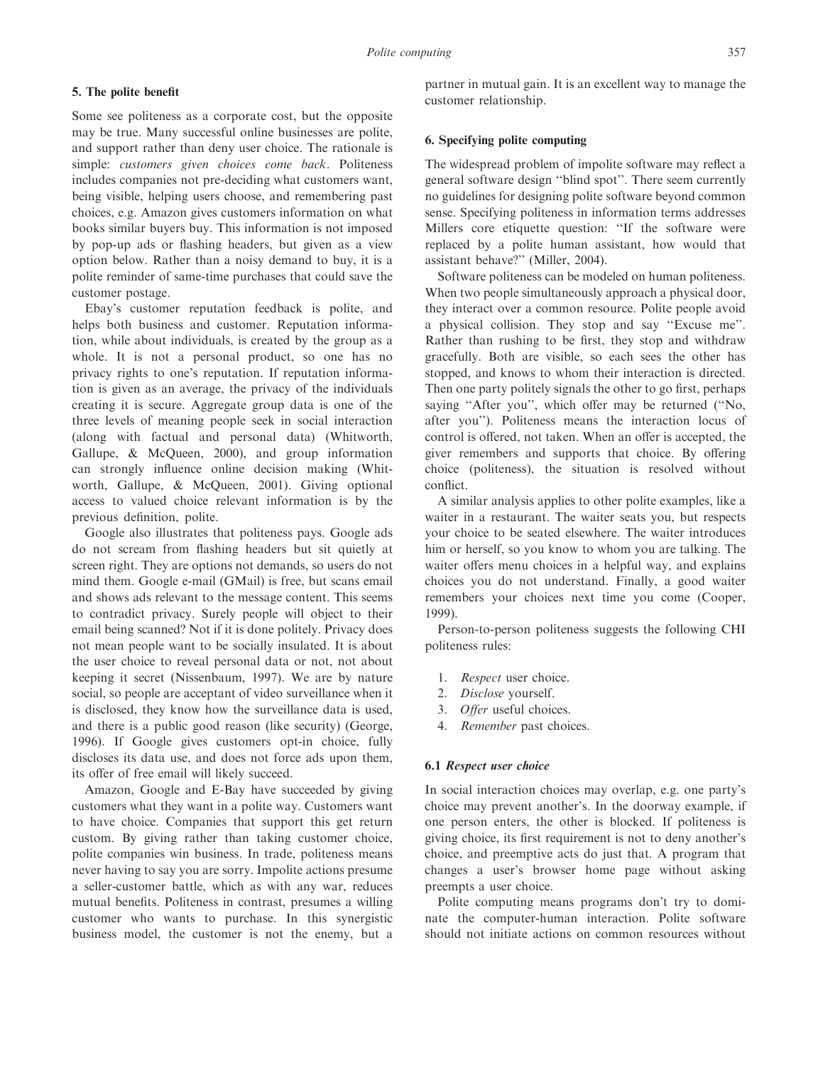# 5. The polite benefit

Some see politeness as a corporate cost, but the opposite may be true. Many successful online businesses are polite, and support rather than deny user choice. The rationale is simple: customers given choices come back. Politeness includes companies not pre-deciding what customers want, being visible, helping users choose, and remembering past choices, e.g. Amazon gives customers information on what books similar buyers buy. This information is not imposed by pop-up ads or flashing headers, but given as a view option below. Rather than a noisy demand to buy, it is a polite reminder of same-time purchases that could save the customer postage.

Ebay's customer reputation feedback is polite, and helps both business and customer. Reputation information, while about individuals, is created by the group as a whole. It is not a personal product, so one has no privacy rights to one's reputation. If reputation information is given as an average, the privacy of the individuals creating it is secure. Aggregate group data is one of the three levels of meaning people seek in social interaction (along with factual and personal data) (Whitworth, Gallupe, & McQueen, 2000), and group information can strongly influence online decision making (Whitworth, Gallupe, & McQueen, 2001). Giving optional access to valued choice relevant information is by the previous definition, polite.

Google also illustrates that politeness pays. Google ads do not scream from flashing headers but sit quietly at screen right. They are options not demands, so users do not mind them. Google e-mail (GMail) is free, but scans email and shows ads relevant to the message content. This seems to contradict privacy. Surely people will object to their email being scanned? Not if it is done politely. Privacy does not mean people want to be socially insulated. It is about the user choice to reveal personal data or not, not about keeping it secret (Nissenbaum, 1997). We are by nature social, so people are acceptant of video surveillance when it is disclosed, they know how the surveillance data is used, and there is a public good reason (like security) (George, 1996). If Google gives customers opt-in choice, fully discloses its data use, and does not force ads upon them, its offer of free email will likely succeed.

Amazon, Google and E-Bay have succeeded by giving customers what they want in a polite way. Customers want to have choice. Companies that support this get return custom. By giving rather than taking customer choice, polite companies win business. In trade, politeness means never having to say you are sorry. Impolite actions presume a seller-customer battle, which as with any war, reduces mutual benefits. Politeness in contrast, presumes a willing customer who wants to purchase. In this synergistic business model, the customer is not the enemy, but a

partner in mutual gain. It is an excellent way to manage the customer relationship.

#### 6. Specifying polite computing

The widespread problem of impolite software may reflect a general software design ''blind spot''. There seem currently no guidelines for designing polite software beyond common sense. Specifying politeness in information terms addresses Millers core etiquette question: ''If the software were replaced by a polite human assistant, how would that assistant behave?'' (Miller, 2004).

Software politeness can be modeled on human politeness. When two people simultaneously approach a physical door, they interact over a common resource. Polite people avoid a physical collision. They stop and say ''Excuse me''. Rather than rushing to be first, they stop and withdraw gracefully. Both are visible, so each sees the other has stopped, and knows to whom their interaction is directed. Then one party politely signals the other to go first, perhaps saying "After you", which offer may be returned ("No, after you''). Politeness means the interaction locus of control is offered, not taken. When an offer is accepted, the giver remembers and supports that choice. By offering choice (politeness), the situation is resolved without conflict.

A similar analysis applies to other polite examples, like a waiter in a restaurant. The waiter seats you, but respects your choice to be seated elsewhere. The waiter introduces him or herself, so you know to whom you are talking. The waiter offers menu choices in a helpful way, and explains choices you do not understand. Finally, a good waiter remembers your choices next time you come (Cooper, 1999).

Person-to-person politeness suggests the following CHI politeness rules:

- 1. Respect user choice.
- 2. Disclose yourself.
- 3. Offer useful choices.
- 4. Remember past choices.

#### 6.1 Respect user choice

In social interaction choices may overlap, e.g. one party's choice may prevent another's. In the doorway example, if one person enters, the other is blocked. If politeness is giving choice, its first requirement is not to deny another's choice, and preemptive acts do just that. A program that changes a user's browser home page without asking preempts a user choice.

Polite computing means programs don't try to dominate the computer-human interaction. Polite software should not initiate actions on common resources without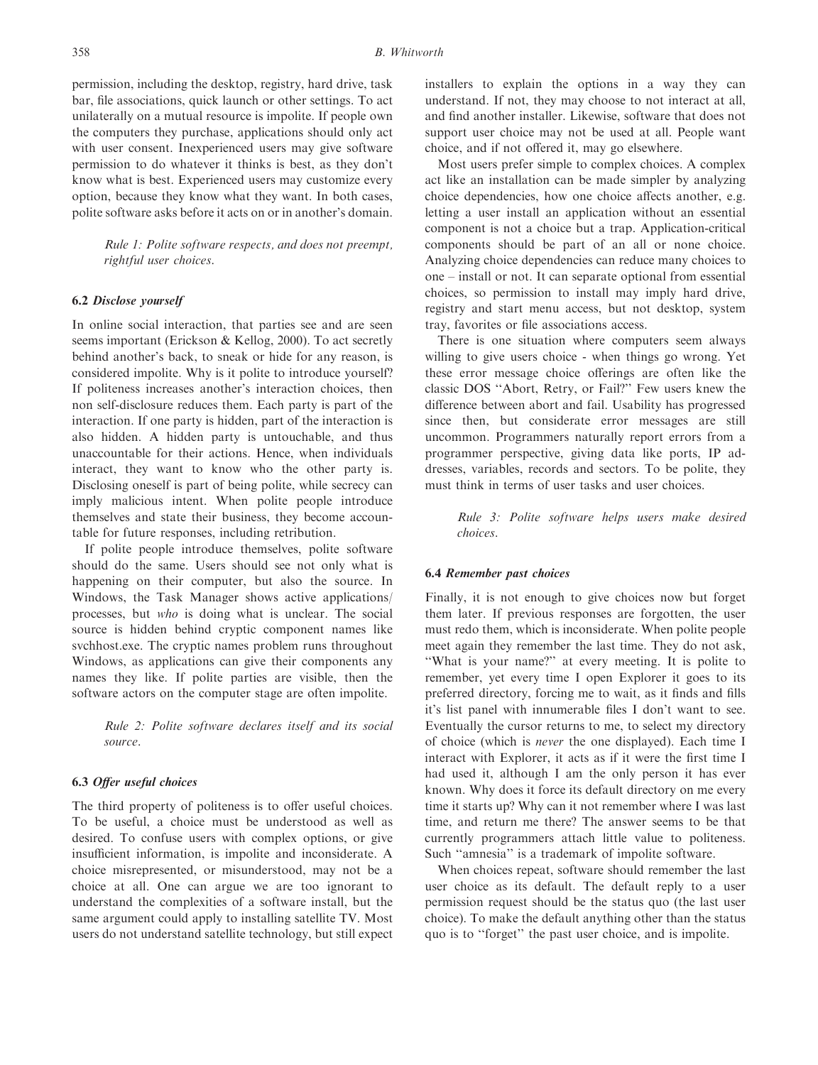permission, including the desktop, registry, hard drive, task bar, file associations, quick launch or other settings. To act unilaterally on a mutual resource is impolite. If people own the computers they purchase, applications should only act with user consent. Inexperienced users may give software permission to do whatever it thinks is best, as they don't know what is best. Experienced users may customize every option, because they know what they want. In both cases, polite software asks before it acts on or in another's domain.

Rule 1: Polite software respects, and does not preempt, rightful user choices.

# 6.2 Disclose yourself

In online social interaction, that parties see and are seen seems important (Erickson & Kellog, 2000). To act secretly behind another's back, to sneak or hide for any reason, is considered impolite. Why is it polite to introduce yourself? If politeness increases another's interaction choices, then non self-disclosure reduces them. Each party is part of the interaction. If one party is hidden, part of the interaction is also hidden. A hidden party is untouchable, and thus unaccountable for their actions. Hence, when individuals interact, they want to know who the other party is. Disclosing oneself is part of being polite, while secrecy can imply malicious intent. When polite people introduce themselves and state their business, they become accountable for future responses, including retribution.

If polite people introduce themselves, polite software should do the same. Users should see not only what is happening on their computer, but also the source. In Windows, the Task Manager shows active applications/ processes, but who is doing what is unclear. The social source is hidden behind cryptic component names like svchhost.exe. The cryptic names problem runs throughout Windows, as applications can give their components any names they like. If polite parties are visible, then the software actors on the computer stage are often impolite.

> Rule 2: Polite software declares itself and its social source.

# 6.3 Offer useful choices

The third property of politeness is to offer useful choices. To be useful, a choice must be understood as well as desired. To confuse users with complex options, or give insufficient information, is impolite and inconsiderate. A choice misrepresented, or misunderstood, may not be a choice at all. One can argue we are too ignorant to understand the complexities of a software install, but the same argument could apply to installing satellite TV. Most users do not understand satellite technology, but still expect

installers to explain the options in a way they can understand. If not, they may choose to not interact at all, and find another installer. Likewise, software that does not support user choice may not be used at all. People want choice, and if not offered it, may go elsewhere.

Most users prefer simple to complex choices. A complex act like an installation can be made simpler by analyzing choice dependencies, how one choice affects another, e.g. letting a user install an application without an essential component is not a choice but a trap. Application-critical components should be part of an all or none choice. Analyzing choice dependencies can reduce many choices to one – install or not. It can separate optional from essential choices, so permission to install may imply hard drive, registry and start menu access, but not desktop, system tray, favorites or file associations access.

There is one situation where computers seem always willing to give users choice - when things go wrong. Yet these error message choice offerings are often like the classic DOS ''Abort, Retry, or Fail?'' Few users knew the difference between abort and fail. Usability has progressed since then, but considerate error messages are still uncommon. Programmers naturally report errors from a programmer perspective, giving data like ports, IP addresses, variables, records and sectors. To be polite, they must think in terms of user tasks and user choices.

Rule 3: Polite software helps users make desired choices.

# 6.4 Remember past choices

Finally, it is not enough to give choices now but forget them later. If previous responses are forgotten, the user must redo them, which is inconsiderate. When polite people meet again they remember the last time. They do not ask, ''What is your name?'' at every meeting. It is polite to remember, yet every time I open Explorer it goes to its preferred directory, forcing me to wait, as it finds and fills it's list panel with innumerable files I don't want to see. Eventually the cursor returns to me, to select my directory of choice (which is never the one displayed). Each time I interact with Explorer, it acts as if it were the first time I had used it, although I am the only person it has ever known. Why does it force its default directory on me every time it starts up? Why can it not remember where I was last time, and return me there? The answer seems to be that currently programmers attach little value to politeness. Such ''amnesia'' is a trademark of impolite software.

When choices repeat, software should remember the last user choice as its default. The default reply to a user permission request should be the status quo (the last user choice). To make the default anything other than the status quo is to ''forget'' the past user choice, and is impolite.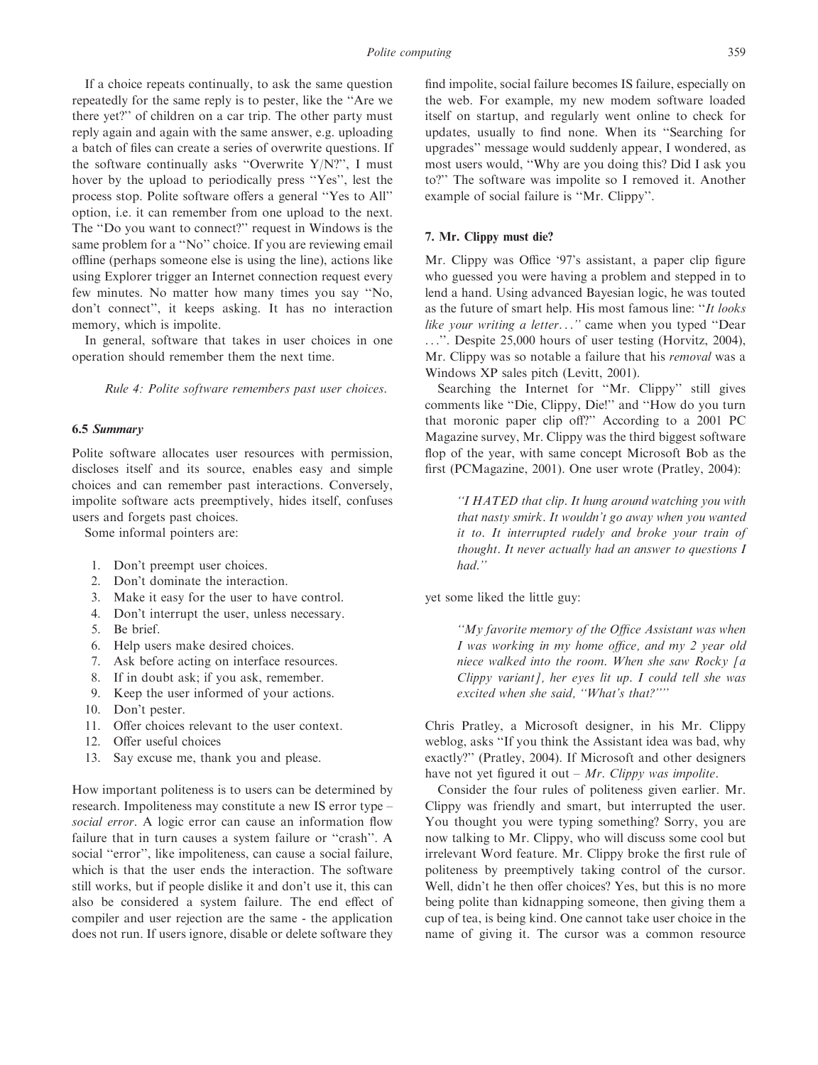If a choice repeats continually, to ask the same question repeatedly for the same reply is to pester, like the ''Are we there yet?'' of children on a car trip. The other party must reply again and again with the same answer, e.g. uploading a batch of files can create a series of overwrite questions. If the software continually asks ''Overwrite Y/N?'', I must hover by the upload to periodically press ''Yes'', lest the process stop. Polite software offers a general ''Yes to All'' option, i.e. it can remember from one upload to the next. The ''Do you want to connect?'' request in Windows is the same problem for a "No" choice. If you are reviewing email offline (perhaps someone else is using the line), actions like using Explorer trigger an Internet connection request every few minutes. No matter how many times you say ''No, don't connect'', it keeps asking. It has no interaction memory, which is impolite.

In general, software that takes in user choices in one operation should remember them the next time.

Rule 4: Polite software remembers past user choices.

# 6.5 Summary

Polite software allocates user resources with permission, discloses itself and its source, enables easy and simple choices and can remember past interactions. Conversely, impolite software acts preemptively, hides itself, confuses users and forgets past choices.

Some informal pointers are:

- 1. Don't preempt user choices.
- 2. Don't dominate the interaction.
- 3. Make it easy for the user to have control.
- 4. Don't interrupt the user, unless necessary.
- 5. Be brief.
- 6. Help users make desired choices.
- 7. Ask before acting on interface resources.
- 8. If in doubt ask; if you ask, remember.
- 9. Keep the user informed of your actions.
- 10. Don't pester.
- 11. Offer choices relevant to the user context.
- 12. Offer useful choices
- 13. Say excuse me, thank you and please.

How important politeness is to users can be determined by research. Impoliteness may constitute a new IS error type – social error. A logic error can cause an information flow failure that in turn causes a system failure or ''crash''. A social "error", like impoliteness, can cause a social failure, which is that the user ends the interaction. The software still works, but if people dislike it and don't use it, this can also be considered a system failure. The end effect of compiler and user rejection are the same - the application does not run. If users ignore, disable or delete software they

find impolite, social failure becomes IS failure, especially on the web. For example, my new modem software loaded itself on startup, and regularly went online to check for updates, usually to find none. When its ''Searching for upgrades'' message would suddenly appear, I wondered, as most users would, ''Why are you doing this? Did I ask you to?'' The software was impolite so I removed it. Another example of social failure is ''Mr. Clippy''.

## 7. Mr. Clippy must die?

Mr. Clippy was Office '97's assistant, a paper clip figure who guessed you were having a problem and stepped in to lend a hand. Using advanced Bayesian logic, he was touted as the future of smart help. His most famous line: "It looks like your writing a letter..." came when you typed "Dear ...". Despite 25,000 hours of user testing (Horvitz, 2004), Mr. Clippy was so notable a failure that his *removal* was a Windows XP sales pitch (Levitt, 2001).

Searching the Internet for ''Mr. Clippy'' still gives comments like ''Die, Clippy, Die!'' and ''How do you turn that moronic paper clip off?'' According to a 2001 PC Magazine survey, Mr. Clippy was the third biggest software flop of the year, with same concept Microsoft Bob as the first (PCMagazine, 2001). One user wrote (Pratley, 2004):

''I HATED that clip. It hung around watching you with that nasty smirk. It wouldn't go away when you wanted it to. It interrupted rudely and broke your train of thought. It never actually had an answer to questions I had."

yet some liked the little guy:

''My favorite memory of the Office Assistant was when I was working in my home office, and my 2 year old niece walked into the room. When she saw Rocky [a Clippy variant], her eyes lit up. I could tell she was excited when she said, ''What's that?''''

Chris Pratley, a Microsoft designer, in his Mr. Clippy weblog, asks ''If you think the Assistant idea was bad, why exactly?'' (Pratley, 2004). If Microsoft and other designers have not yet figured it out –  $Mr$ . Clippy was impolite.

Consider the four rules of politeness given earlier. Mr. Clippy was friendly and smart, but interrupted the user. You thought you were typing something? Sorry, you are now talking to Mr. Clippy, who will discuss some cool but irrelevant Word feature. Mr. Clippy broke the first rule of politeness by preemptively taking control of the cursor. Well, didn't he then offer choices? Yes, but this is no more being polite than kidnapping someone, then giving them a cup of tea, is being kind. One cannot take user choice in the name of giving it. The cursor was a common resource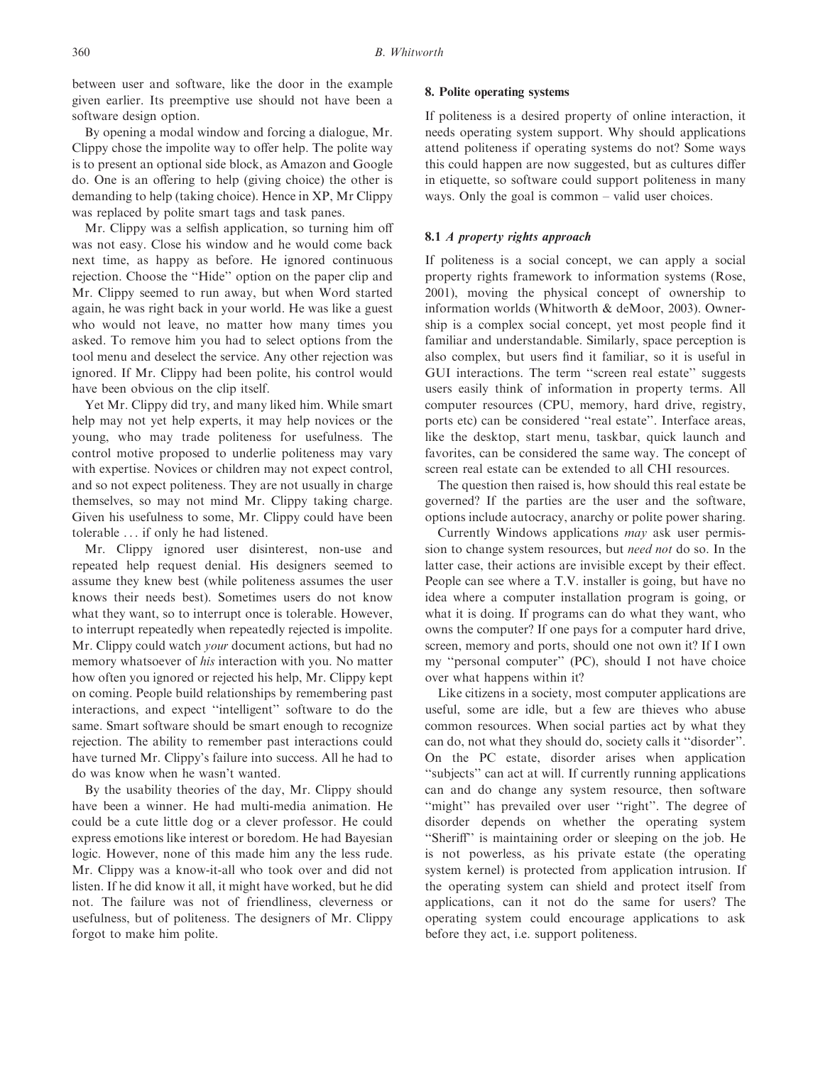between user and software, like the door in the example given earlier. Its preemptive use should not have been a software design option.

By opening a modal window and forcing a dialogue, Mr. Clippy chose the impolite way to offer help. The polite way is to present an optional side block, as Amazon and Google do. One is an offering to help (giving choice) the other is demanding to help (taking choice). Hence in XP, Mr Clippy was replaced by polite smart tags and task panes.

Mr. Clippy was a selfish application, so turning him off was not easy. Close his window and he would come back next time, as happy as before. He ignored continuous rejection. Choose the ''Hide'' option on the paper clip and Mr. Clippy seemed to run away, but when Word started again, he was right back in your world. He was like a guest who would not leave, no matter how many times you asked. To remove him you had to select options from the tool menu and deselect the service. Any other rejection was ignored. If Mr. Clippy had been polite, his control would have been obvious on the clip itself.

Yet Mr. Clippy did try, and many liked him. While smart help may not yet help experts, it may help novices or the young, who may trade politeness for usefulness. The control motive proposed to underlie politeness may vary with expertise. Novices or children may not expect control, and so not expect politeness. They are not usually in charge themselves, so may not mind Mr. Clippy taking charge. Given his usefulness to some, Mr. Clippy could have been tolerable . . . if only he had listened.

Mr. Clippy ignored user disinterest, non-use and repeated help request denial. His designers seemed to assume they knew best (while politeness assumes the user knows their needs best). Sometimes users do not know what they want, so to interrupt once is tolerable. However, to interrupt repeatedly when repeatedly rejected is impolite. Mr. Clippy could watch *your* document actions, but had no memory whatsoever of his interaction with you. No matter how often you ignored or rejected his help, Mr. Clippy kept on coming. People build relationships by remembering past interactions, and expect ''intelligent'' software to do the same. Smart software should be smart enough to recognize rejection. The ability to remember past interactions could have turned Mr. Clippy's failure into success. All he had to do was know when he wasn't wanted.

By the usability theories of the day, Mr. Clippy should have been a winner. He had multi-media animation. He could be a cute little dog or a clever professor. He could express emotions like interest or boredom. He had Bayesian logic. However, none of this made him any the less rude. Mr. Clippy was a know-it-all who took over and did not listen. If he did know it all, it might have worked, but he did not. The failure was not of friendliness, cleverness or usefulness, but of politeness. The designers of Mr. Clippy forgot to make him polite.

## 8. Polite operating systems

If politeness is a desired property of online interaction, it needs operating system support. Why should applications attend politeness if operating systems do not? Some ways this could happen are now suggested, but as cultures differ in etiquette, so software could support politeness in many ways. Only the goal is common – valid user choices.

#### 8.1 A property rights approach

If politeness is a social concept, we can apply a social property rights framework to information systems (Rose, 2001), moving the physical concept of ownership to information worlds (Whitworth & deMoor, 2003). Ownership is a complex social concept, yet most people find it familiar and understandable. Similarly, space perception is also complex, but users find it familiar, so it is useful in GUI interactions. The term ''screen real estate'' suggests users easily think of information in property terms. All computer resources (CPU, memory, hard drive, registry, ports etc) can be considered ''real estate''. Interface areas, like the desktop, start menu, taskbar, quick launch and favorites, can be considered the same way. The concept of screen real estate can be extended to all CHI resources.

The question then raised is, how should this real estate be governed? If the parties are the user and the software, options include autocracy, anarchy or polite power sharing.

Currently Windows applications may ask user permission to change system resources, but *need not* do so. In the latter case, their actions are invisible except by their effect. People can see where a T.V. installer is going, but have no idea where a computer installation program is going, or what it is doing. If programs can do what they want, who owns the computer? If one pays for a computer hard drive, screen, memory and ports, should one not own it? If I own my ''personal computer'' (PC), should I not have choice over what happens within it?

Like citizens in a society, most computer applications are useful, some are idle, but a few are thieves who abuse common resources. When social parties act by what they can do, not what they should do, society calls it ''disorder''. On the PC estate, disorder arises when application ''subjects'' can act at will. If currently running applications can and do change any system resource, then software "might" has prevailed over user "right". The degree of disorder depends on whether the operating system ''Sheriff'' is maintaining order or sleeping on the job. He is not powerless, as his private estate (the operating system kernel) is protected from application intrusion. If the operating system can shield and protect itself from applications, can it not do the same for users? The operating system could encourage applications to ask before they act, i.e. support politeness.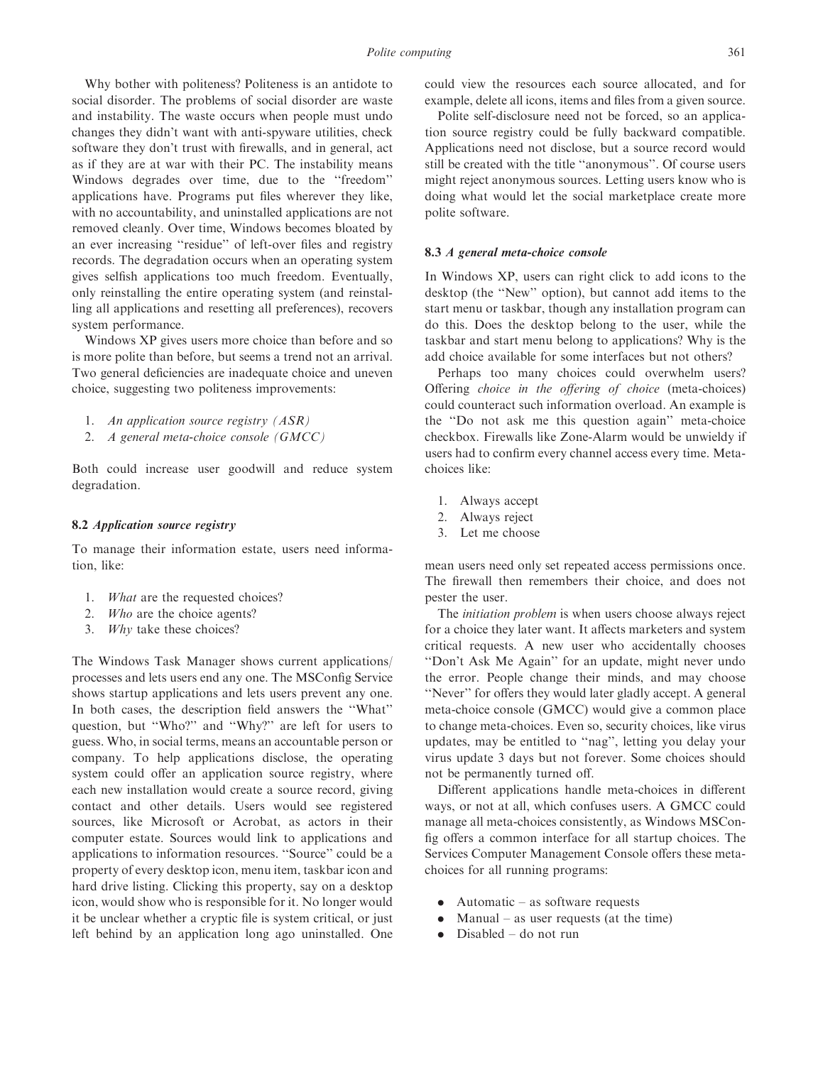Why bother with politeness? Politeness is an antidote to social disorder. The problems of social disorder are waste and instability. The waste occurs when people must undo changes they didn't want with anti-spyware utilities, check software they don't trust with firewalls, and in general, act as if they are at war with their PC. The instability means Windows degrades over time, due to the ''freedom'' applications have. Programs put files wherever they like, with no accountability, and uninstalled applications are not removed cleanly. Over time, Windows becomes bloated by an ever increasing ''residue'' of left-over files and registry records. The degradation occurs when an operating system gives selfish applications too much freedom. Eventually, only reinstalling the entire operating system (and reinstalling all applications and resetting all preferences), recovers system performance.

Windows XP gives users more choice than before and so is more polite than before, but seems a trend not an arrival. Two general deficiencies are inadequate choice and uneven choice, suggesting two politeness improvements:

- 1. An application source registry (ASR)
- 2. A general meta-choice console (GMCC)

Both could increase user goodwill and reduce system degradation.

#### 8.2 Application source registry

To manage their information estate, users need information, like:

- 1. What are the requested choices?
- 2. Who are the choice agents?
- 3. Why take these choices?

The Windows Task Manager shows current applications/ processes and lets users end any one. The MSConfig Service shows startup applications and lets users prevent any one. In both cases, the description field answers the ''What'' question, but ''Who?'' and ''Why?'' are left for users to guess. Who, in social terms, means an accountable person or company. To help applications disclose, the operating system could offer an application source registry, where each new installation would create a source record, giving contact and other details. Users would see registered sources, like Microsoft or Acrobat, as actors in their computer estate. Sources would link to applications and applications to information resources. ''Source'' could be a property of every desktop icon, menu item, taskbar icon and hard drive listing. Clicking this property, say on a desktop icon, would show who is responsible for it. No longer would it be unclear whether a cryptic file is system critical, or just left behind by an application long ago uninstalled. One

could view the resources each source allocated, and for example, delete all icons, items and files from a given source.

Polite self-disclosure need not be forced, so an application source registry could be fully backward compatible. Applications need not disclose, but a source record would still be created with the title ''anonymous''. Of course users might reject anonymous sources. Letting users know who is doing what would let the social marketplace create more polite software.

# 8.3 A general meta-choice console

In Windows XP, users can right click to add icons to the desktop (the ''New'' option), but cannot add items to the start menu or taskbar, though any installation program can do this. Does the desktop belong to the user, while the taskbar and start menu belong to applications? Why is the add choice available for some interfaces but not others?

Perhaps too many choices could overwhelm users? Offering choice in the offering of choice (meta-choices) could counteract such information overload. An example is the ''Do not ask me this question again'' meta-choice checkbox. Firewalls like Zone-Alarm would be unwieldy if users had to confirm every channel access every time. Metachoices like:

- 1. Always accept
- 2. Always reject
- 3. Let me choose

mean users need only set repeated access permissions once. The firewall then remembers their choice, and does not pester the user.

The initiation problem is when users choose always reject for a choice they later want. It affects marketers and system critical requests. A new user who accidentally chooses "Don't Ask Me Again" for an update, might never undo the error. People change their minds, and may choose "Never" for offers they would later gladly accept. A general meta-choice console (GMCC) would give a common place to change meta-choices. Even so, security choices, like virus updates, may be entitled to ''nag'', letting you delay your virus update 3 days but not forever. Some choices should not be permanently turned off.

Different applications handle meta-choices in different ways, or not at all, which confuses users. A GMCC could manage all meta-choices consistently, as Windows MSConfig offers a common interface for all startup choices. The Services Computer Management Console offers these metachoices for all running programs:

- $\bullet$  Automatic as software requests
- $\bullet$  Manual as user requests (at the time)
- $\bullet$  Disabled do not run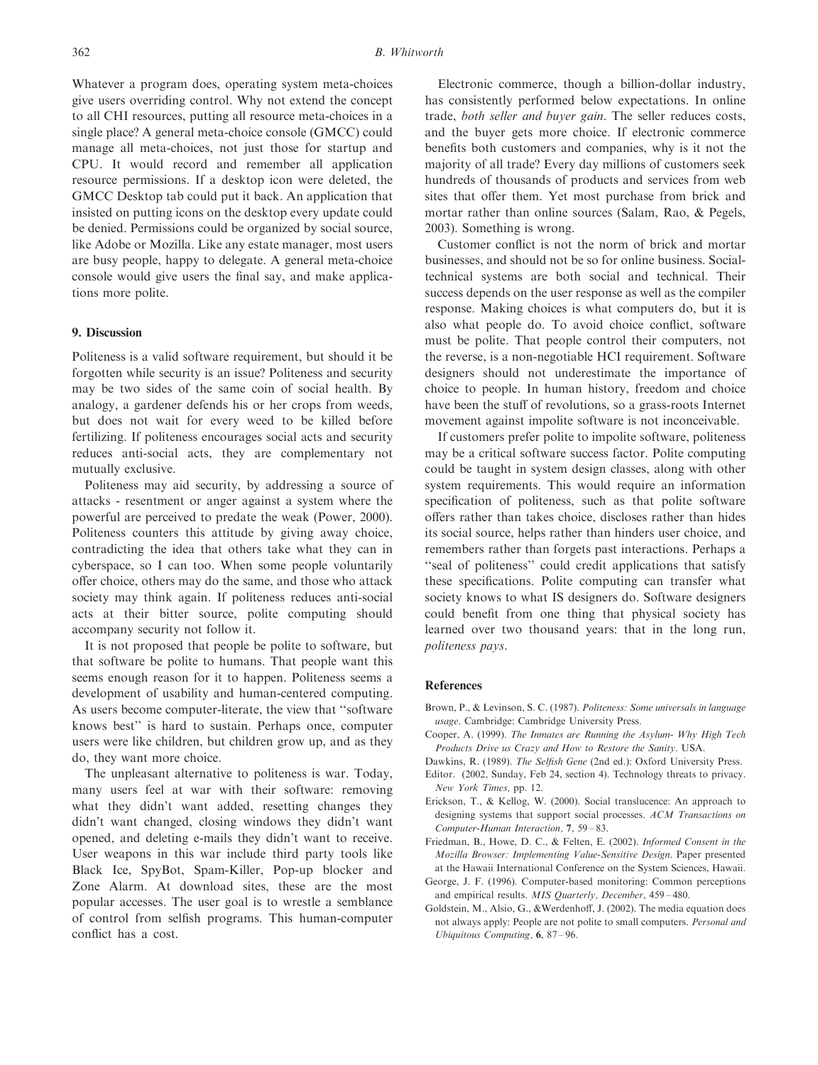Whatever a program does, operating system meta-choices give users overriding control. Why not extend the concept to all CHI resources, putting all resource meta-choices in a single place? A general meta-choice console (GMCC) could manage all meta-choices, not just those for startup and CPU. It would record and remember all application resource permissions. If a desktop icon were deleted, the GMCC Desktop tab could put it back. An application that insisted on putting icons on the desktop every update could be denied. Permissions could be organized by social source, like Adobe or Mozilla. Like any estate manager, most users are busy people, happy to delegate. A general meta-choice console would give users the final say, and make applications more polite.

## 9. Discussion

Politeness is a valid software requirement, but should it be forgotten while security is an issue? Politeness and security may be two sides of the same coin of social health. By analogy, a gardener defends his or her crops from weeds, but does not wait for every weed to be killed before fertilizing. If politeness encourages social acts and security reduces anti-social acts, they are complementary not mutually exclusive.

Politeness may aid security, by addressing a source of attacks - resentment or anger against a system where the powerful are perceived to predate the weak (Power, 2000). Politeness counters this attitude by giving away choice, contradicting the idea that others take what they can in cyberspace, so I can too. When some people voluntarily offer choice, others may do the same, and those who attack society may think again. If politeness reduces anti-social acts at their bitter source, polite computing should accompany security not follow it.

It is not proposed that people be polite to software, but that software be polite to humans. That people want this seems enough reason for it to happen. Politeness seems a development of usability and human-centered computing. As users become computer-literate, the view that ''software knows best'' is hard to sustain. Perhaps once, computer users were like children, but children grow up, and as they do, they want more choice.

The unpleasant alternative to politeness is war. Today, many users feel at war with their software: removing what they didn't want added, resetting changes they didn't want changed, closing windows they didn't want opened, and deleting e-mails they didn't want to receive. User weapons in this war include third party tools like Black Ice, SpyBot, Spam-Killer, Pop-up blocker and Zone Alarm. At download sites, these are the most popular accesses. The user goal is to wrestle a semblance of control from selfish programs. This human-computer conflict has a cost.

Electronic commerce, though a billion-dollar industry, has consistently performed below expectations. In online trade, both seller and buyer gain. The seller reduces costs, and the buyer gets more choice. If electronic commerce benefits both customers and companies, why is it not the majority of all trade? Every day millions of customers seek hundreds of thousands of products and services from web sites that offer them. Yet most purchase from brick and mortar rather than online sources (Salam, Rao, & Pegels, 2003). Something is wrong.

Customer conflict is not the norm of brick and mortar businesses, and should not be so for online business. Socialtechnical systems are both social and technical. Their success depends on the user response as well as the compiler response. Making choices is what computers do, but it is also what people do. To avoid choice conflict, software must be polite. That people control their computers, not the reverse, is a non-negotiable HCI requirement. Software designers should not underestimate the importance of choice to people. In human history, freedom and choice have been the stuff of revolutions, so a grass-roots Internet movement against impolite software is not inconceivable.

If customers prefer polite to impolite software, politeness may be a critical software success factor. Polite computing could be taught in system design classes, along with other system requirements. This would require an information specification of politeness, such as that polite software offers rather than takes choice, discloses rather than hides its social source, helps rather than hinders user choice, and remembers rather than forgets past interactions. Perhaps a "seal of politeness" could credit applications that satisfy these specifications. Polite computing can transfer what society knows to what IS designers do. Software designers could benefit from one thing that physical society has learned over two thousand years: that in the long run, politeness pays.

## **References**

- Brown, P., & Levinson, S. C. (1987). Politeness: Some universals in language usage. Cambridge: Cambridge University Press.
- Cooper, A. (1999). The Inmates are Running the Asylum- Why High Tech Products Drive us Crazy and How to Restore the Sanity. USA.
- Dawkins, R. (1989). The Selfish Gene (2nd ed.): Oxford University Press.
- Editor. (2002, Sunday, Feb 24, section 4). Technology threats to privacy. New York Times, pp. 12.
- Erickson, T., & Kellog, W. (2000). Social translucence: An approach to designing systems that support social processes. ACM Transactions on Computer-Human Interaction, 7, 59 – 83.

Friedman, B., Howe, D. C., & Felten, E. (2002). Informed Consent in the Mozilla Browser: Implementing Value-Sensitive Design. Paper presented at the Hawaii International Conference on the System Sciences, Hawaii.

- George, J. F. (1996). Computer-based monitoring: Common perceptions and empirical results. MIS Quarterly, December, 459 – 480.
- Goldstein, M., Alsio, G., &Werdenhoff, J. (2002). The media equation does not always apply: People are not polite to small computers. Personal and Ubiquitous Computing, 6, 87 – 96.